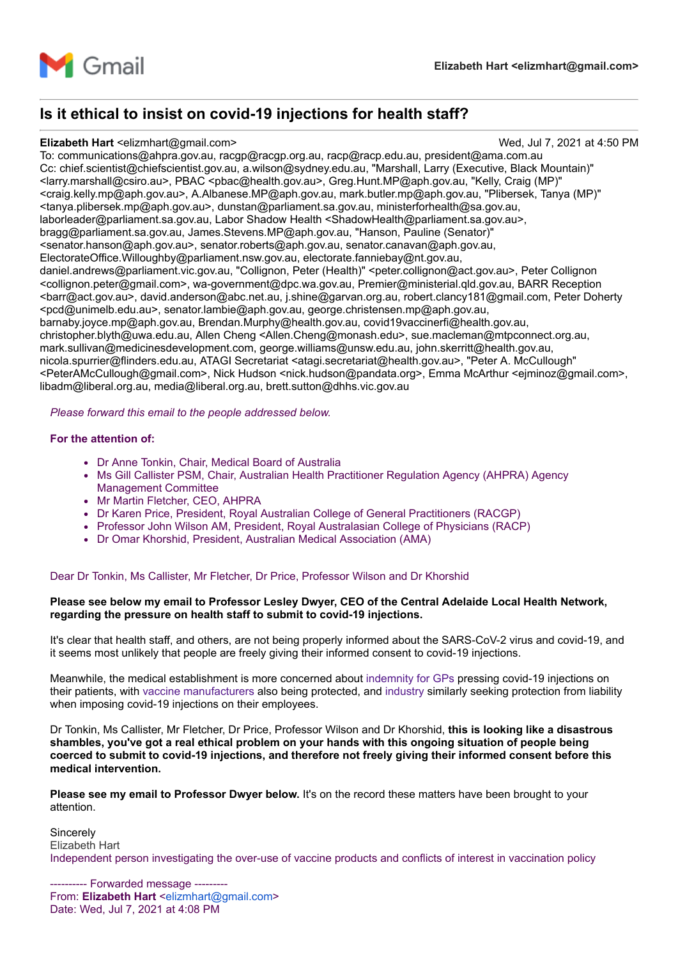

# **Is it ethical to insist on covid-19 injections for health staff?**

#### **Elizabeth Hart** <elizmhart@gmail.com> Wed, Jul 7, 2021 at 4:50 PM

To: communications@ahpra.gov.au, racgp@racgp.org.au, racp@racp.edu.au, president@ama.com.au Cc: chief.scientist@chiefscientist.gov.au, a.wilson@sydney.edu.au, "Marshall, Larry (Executive, Black Mountain)" <larry.marshall@csiro.au>, PBAC <pbac@health.gov.au>, Greg.Hunt.MP@aph.gov.au, "Kelly, Craig (MP)" <craig.kelly.mp@aph.gov.au>, A.Albanese.MP@aph.gov.au, mark.butler.mp@aph.gov.au, "Plibersek, Tanya (MP)" <tanya.plibersek.mp@aph.gov.au>, dunstan@parliament.sa.gov.au, ministerforhealth@sa.gov.au, laborleader@parliament.sa.gov.au, Labor Shadow Health <ShadowHealth@parliament.sa.gov.au>, bragg@parliament.sa.gov.au, James.Stevens.MP@aph.gov.au, "Hanson, Pauline (Senator)" <senator.hanson@aph.gov.au>, senator.roberts@aph.gov.au, senator.canavan@aph.gov.au, ElectorateOffice.Willoughby@parliament.nsw.gov.au, electorate.fanniebay@nt.gov.au, daniel.andrews@parliament.vic.gov.au, "Collignon, Peter (Health)" <peter.collignon@act.gov.au>, Peter Collignon <collignon.peter@gmail.com>, wa-government@dpc.wa.gov.au, Premier@ministerial.qld.gov.au, BARR Reception <barr@act.gov.au>, david.anderson@abc.net.au, j.shine@garvan.org.au, robert.clancy181@gmail.com, Peter Doherty <pcd@unimelb.edu.au>, senator.lambie@aph.gov.au, george.christensen.mp@aph.gov.au, barnaby.joyce.mp@aph.gov.au, Brendan.Murphy@health.gov.au, covid19vaccinerfi@health.gov.au, christopher.blyth@uwa.edu.au, Allen Cheng <Allen.Cheng@monash.edu>, sue.macleman@mtpconnect.org.au, mark.sullivan@medicinesdevelopment.com, george.williams@unsw.edu.au, john.skerritt@health.gov.au, nicola.spurrier@flinders.edu.au, ATAGI Secretariat <atagi.secretariat@health.gov.au>, "Peter A. McCullough" <PeterAMcCullough@gmail.com>, Nick Hudson <nick.hudson@pandata.org>, Emma McArthur <ejminoz@gmail.com>, libadm@liberal.org.au, media@liberal.org.au, brett.sutton@dhhs.vic.gov.au

*Please forward this email to the people addressed below.*

#### **For the attention of:**

- Dr Anne Tonkin, Chair, Medical Board of Australia
- Ms Gill Callister PSM, Chair, Australian Health Practitioner Regulation Agency (AHPRA) Agency Management Committee
- Mr Martin Fletcher, CEO, AHPRA
- Dr Karen Price, President, Royal Australian College of General Practitioners (RACGP)
- Professor John Wilson AM, President, Royal Australasian College of Physicians (RACP)
- Dr Omar Khorshid, President, Australian Medical Association (AMA)

#### Dear Dr Tonkin, Ms Callister, Mr Fletcher, Dr Price, Professor Wilson and Dr Khorshid

### **Please see below my email to Professor Lesley Dwyer, CEO of the Central Adelaide Local Health Network, regarding the pressure on health staff to submit to covid-19 injections.**

It's clear that health staff, and others, are not being properly informed about the SARS-CoV-2 virus and covid-19, and it seems most unlikely that people are freely giving their informed consent to covid-19 injections.

Meanwhile, the medical establishment is more concerned about [indemnity for GPs](https://www.ama.com.au/ama-rounds/16-april-2021/articles/indemnity-gps-administering-covid-19-vaccines) pressing covid-19 injections on their patients, with [vaccine manufacturers](https://www.smh.com.au/politics/federal/morrison-government-grants-indemnity-for-covid-19-vaccine-side-effects-20201008-p5636o.html) also being protected, and [industry](https://www.theaustralian.com.au/nation/politics/ai-groups-innes-willox-pushes-for-employee-covid-vaccine-data/news-story/aa4adb7c72ac390bf4901338e965e0bd) similarly seeking protection from liability when imposing covid-19 injections on their employees.

Dr Tonkin, Ms Callister, Mr Fletcher, Dr Price, Professor Wilson and Dr Khorshid, **this is looking like a disastrous shambles, you've got a real ethical problem on your hands with this ongoing situation of people being coerced to submit to covid-19 injections, and therefore not freely giving their informed consent before this medical intervention.**

**Please see my email to Professor Dwyer below.** It's on the record these matters have been brought to your attention.

**Sincerely** Elizabeth Hart Independent person investigating the over-use of vaccine products and conflicts of interest in vaccination policy

---- Forwarded message ---From: **Elizabeth Hart** [<elizmhart@gmail.com>](mailto:elizmhart@gmail.com) Date: Wed, Jul 7, 2021 at 4:08 PM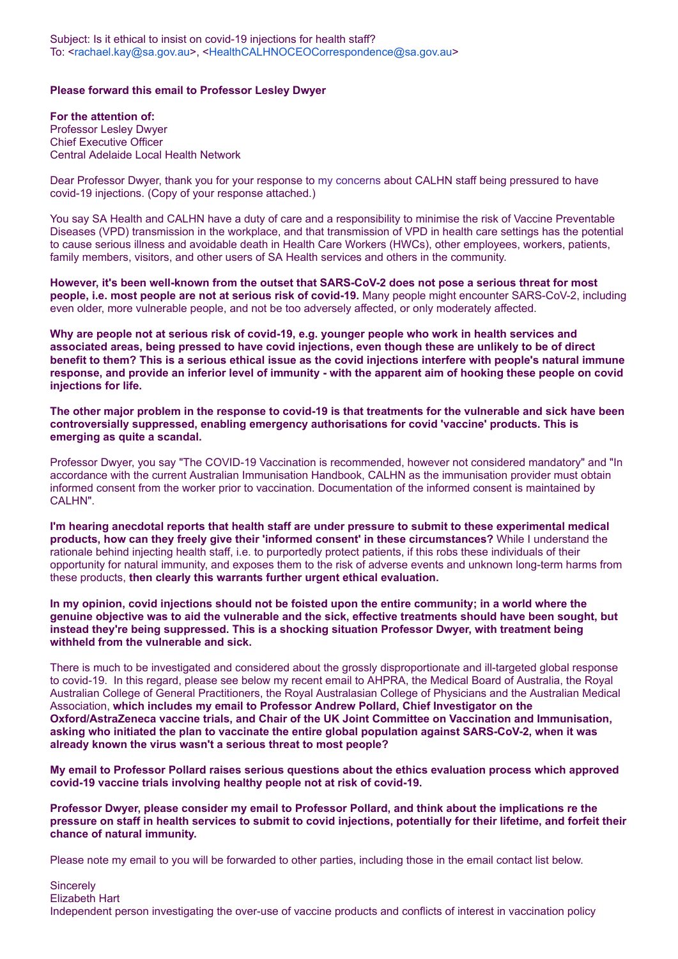### **Please forward this email to Professor Lesley Dwyer**

**For the attention of:** Professor Lesley Dwyer Chief Executive Officer Central Adelaide Local Health Network

Dear Professor Dwyer, thank you for your response to [my concerns](https://vaccinationispolitical.files.wordpress.com/2021/07/coercive-covid-19-injections-in-australia-email-to-lesley-dwyer-calhn.pdf) about CALHN staff being pressured to have covid-19 injections. (Copy of your response attached.)

You say SA Health and CALHN have a duty of care and a responsibility to minimise the risk of Vaccine Preventable Diseases (VPD) transmission in the workplace, and that transmission of VPD in health care settings has the potential to cause serious illness and avoidable death in Health Care Workers (HWCs), other employees, workers, patients, family members, visitors, and other users of SA Health services and others in the community.

**However, it's been well-known from the outset that SARS-CoV-2 does not pose a serious threat for most people, i.e. most people are not at serious risk of covid-19.** Many people might encounter SARS-CoV-2, including even older, more vulnerable people, and not be too adversely affected, or only moderately affected.

**Why are people not at serious risk of covid-19, e.g. younger people who work in health services and associated areas, being pressed to have covid injections, even though these are unlikely to be of direct benefit to them? This is a serious ethical issue as the covid injections interfere with people's natural immune response, and provide an inferior level of immunity - with the apparent aim of hooking these people on covid injections for life.**

**The other major problem in the response to covid-19 is that treatments for the vulnerable and sick have been controversially suppressed, enabling emergency authorisations for covid 'vaccine' products. This is emerging as quite a scandal.**

Professor Dwyer, you say "The COVID-19 Vaccination is recommended, however not considered mandatory" and "In accordance with the current Australian Immunisation Handbook, CALHN as the immunisation provider must obtain informed consent from the worker prior to vaccination. Documentation of the informed consent is maintained by CALHN".

**I'm hearing anecdotal reports that health staff are under pressure to submit to these experimental medical products, how can they freely give their 'informed consent' in these circumstances?** While I understand the rationale behind injecting health staff, i.e. to purportedly protect patients, if this robs these individuals of their opportunity for natural immunity, and exposes them to the risk of adverse events and unknown long-term harms from these products, **then clearly this warrants further urgent ethical evaluation.**

**In my opinion, covid injections should not be foisted upon the entire community; in a world where the genuine objective was to aid the vulnerable and the sick, effective treatments should have been sought, but instead they're being suppressed. This is a shocking situation Professor Dwyer, with treatment being withheld from the vulnerable and sick.**

There is much to be investigated and considered about the grossly disproportionate and ill-targeted global response to covid-19. In this regard, please see below my recent email to AHPRA, the Medical Board of Australia, the Royal Australian College of General Practitioners, the Royal Australasian College of Physicians and the Australian Medical Association, **which includes my email to Professor Andrew Pollard, Chief Investigator on the Oxford/AstraZeneca vaccine trials, and Chair of the UK Joint Committee on Vaccination and Immunisation, asking who initiated the plan to vaccinate the entire global population against SARS-CoV-2, when it was already known the virus wasn't a serious threat to most people?**

**My email to Professor Pollard raises serious questions about the ethics evaluation process which approved covid-19 vaccine trials involving healthy people not at risk of covid-19.**

**Professor Dwyer, please consider my email to Professor Pollard, and think about the implications re the pressure on staff in health services to submit to covid injections, potentially for their lifetime, and forfeit their chance of natural immunity.**

Please note my email to you will be forwarded to other parties, including those in the email contact list below.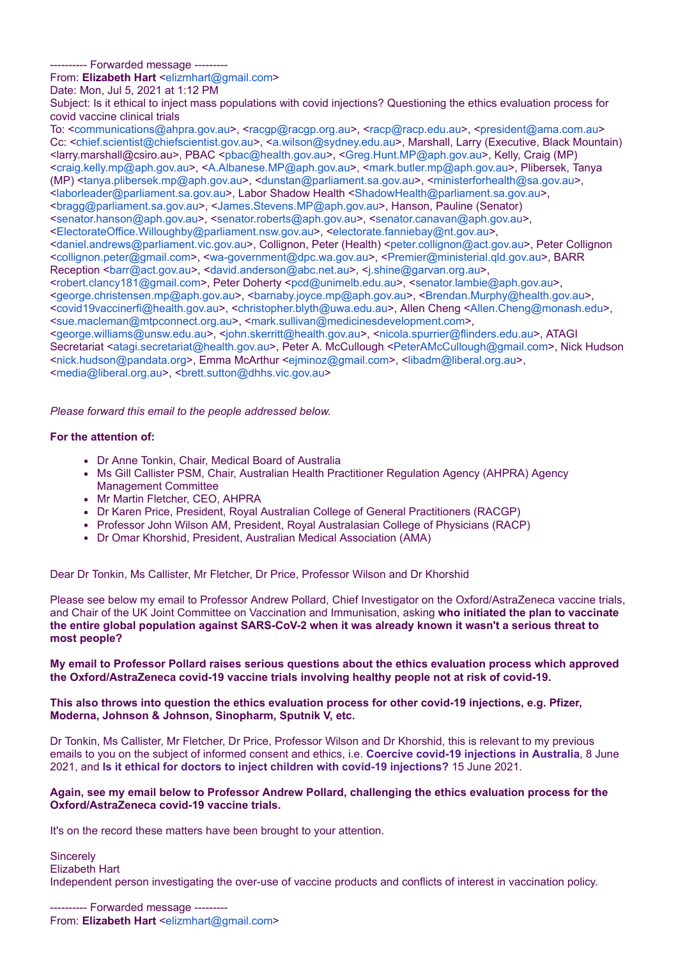------ Forwarded message ------

From: **Elizabeth Hart** [<elizmhart@gmail.com>](mailto:elizmhart@gmail.com)

Date: Mon, Jul 5, 2021 at 1:12 PM

Subject: Is it ethical to inject mass populations with covid injections? Questioning the ethics evaluation process for covid vaccine clinical trials

To: <[communications@ahpra.gov.au](mailto:communications@ahpra.gov.au)>, <[racgp@racgp.org.au>](mailto:racgp@racgp.org.au), <[racp@racp.edu.au](mailto:racp@racp.edu.au)>, <[president@ama.com.au>](mailto:president@ama.com.au) Cc: [<chief.scientist@chiefscientist.gov.au>](mailto:chief.scientist@chiefscientist.gov.au), [<a.wilson@sydney.edu.au](mailto:a.wilson@sydney.edu.au)>, Marshall, Larry (Executive, Black Mountain) <larry.marshall@csiro.au>, PBAC <[pbac@health.gov.au](mailto:pbac@health.gov.au)>, <[Greg.Hunt.MP@aph.gov.au](mailto:Greg.Hunt.MP@aph.gov.au)>, Kelly, Craig (MP) <[craig.kelly.mp@aph.gov.au](mailto:craig.kelly.mp@aph.gov.au)>, <[A.Albanese.MP@aph.gov.au](mailto:A.Albanese.MP@aph.gov.au)>, <[mark.butler.mp@aph.gov.au](mailto:mark.butler.mp@aph.gov.au)>, Plibersek, Tanya (MP) [<tanya.plibersek.mp@aph.gov.au>](mailto:tanya.plibersek.mp@aph.gov.au), [<dunstan@parliament.sa.gov.au](mailto:dunstan@parliament.sa.gov.au)>, <[ministerforhealth@sa.gov.au>](mailto:ministerforhealth@sa.gov.au), <[laborleader@parliament.sa.gov.au>](mailto:laborleader@parliament.sa.gov.au), Labor Shadow Health <[ShadowHealth@parliament.sa.gov.au>](mailto:ShadowHealth@parliament.sa.gov.au), <[bragg@parliament.sa.gov.au>](mailto:bragg@parliament.sa.gov.au), [<James.Stevens.MP@aph.gov.au>](mailto:James.Stevens.MP@aph.gov.au), Hanson, Pauline (Senator) <[senator.hanson@aph.gov.au>](mailto:senator.hanson@aph.gov.au), [<senator.roberts@aph.gov.au](mailto:senator.roberts@aph.gov.au)>, <[senator.canavan@aph.gov.au](mailto:senator.canavan@aph.gov.au)>, <[ElectorateOffice.Willoughby@parliament.nsw.gov.au>](mailto:ElectorateOffice.Willoughby@parliament.nsw.gov.au), [<electorate.fanniebay@nt.gov.au>](mailto:electorate.fanniebay@nt.gov.au), <[daniel.andrews@parliament.vic.gov.au>](mailto:daniel.andrews@parliament.vic.gov.au), Collignon, Peter (Health) <[peter.collignon@act.gov.au](mailto:peter.collignon@act.gov.au)>, Peter Collignon <[collignon.peter@gmail.com>](mailto:collignon.peter@gmail.com), [<wa-government@dpc.wa.gov.au>](mailto:wa-government@dpc.wa.gov.au), [<Premier@ministerial.qld.gov.au](mailto:Premier@ministerial.qld.gov.au)>, BARR Reception <br/>sharr@act.gov.au>, [<david.anderson@abc.net.au>](mailto:david.anderson@abc.net.au), <[j.shine@garvan.org.au>](mailto:j.shine@garvan.org.au), <[robert.clancy181@gmail.com](mailto:robert.clancy181@gmail.com)>, Peter Doherty <[pcd@unimelb.edu.au](mailto:pcd@unimelb.edu.au)>, <[senator.lambie@aph.gov.au>](mailto:senator.lambie@aph.gov.au), <[george.christensen.mp@aph.gov.au](mailto:george.christensen.mp@aph.gov.au)>, [<barnaby.joyce.mp@aph.gov.au>](mailto:barnaby.joyce.mp@aph.gov.au), [<Brendan.Murphy@health.gov.au>](mailto:Brendan.Murphy@health.gov.au), <[covid19vaccinerfi@health.gov.au>](mailto:covid19vaccinerfi@health.gov.au), [<christopher.blyth@uwa.edu.au](mailto:christopher.blyth@uwa.edu.au)>, Allen Cheng [<Allen.Cheng@monash.edu](mailto:Allen.Cheng@monash.edu)>, <[sue.macleman@mtpconnect.org.au>](mailto:sue.macleman@mtpconnect.org.au), [<mark.sullivan@medicinesdevelopment.com>](mailto:mark.sullivan@medicinesdevelopment.com), <[george.williams@unsw.edu.au](mailto:george.williams@unsw.edu.au)>, <[john.skerritt@health.gov.au](mailto:john.skerritt@health.gov.au)>, <[nicola.spurrier@flinders.edu.au>](mailto:nicola.spurrier@flinders.edu.au), ATAGI Secretariat <[atagi.secretariat@health.gov.au>](mailto:atagi.secretariat@health.gov.au), Peter A. McCullough <[PeterAMcCullough@gmail.com](mailto:PeterAMcCullough@gmail.com)>, Nick Hudson <[nick.hudson@pandata.org>](mailto:nick.hudson@pandata.org), Emma McArthur [<ejminoz@gmail.com>](mailto:ejminoz@gmail.com), [<libadm@liberal.org.au>](mailto:libadm@liberal.org.au),

<[media@liberal.org.au](mailto:media@liberal.org.au)>, <br ett.sutton@dhhs.vic.gov.au>

*Please forward this email to the people addressed below.*

#### **For the attention of:**

- Dr Anne Tonkin, Chair, Medical Board of Australia
- Ms Gill Callister PSM, Chair, Australian Health Practitioner Regulation Agency (AHPRA) Agency Management Committee
- Mr Martin Fletcher, CEO, AHPRA
- Dr Karen Price, President, Royal Australian College of General Practitioners (RACGP)
- Professor John Wilson AM, President, Royal Australasian College of Physicians (RACP)
- Dr Omar Khorshid, President, Australian Medical Association (AMA)

Dear Dr Tonkin, Ms Callister, Mr Fletcher, Dr Price, Professor Wilson and Dr Khorshid

Please see below my email to Professor Andrew Pollard, Chief Investigator on the Oxford/AstraZeneca vaccine trials, and Chair of the UK Joint Committee on Vaccination and Immunisation, asking **who initiated the plan to vaccinate the entire global population against SARS-CoV-2 when it was already known it wasn't a serious threat to most people?**

**My email to Professor Pollard raises serious questions about the ethics evaluation process which approved the Oxford/AstraZeneca covid-19 vaccine trials involving healthy people not at risk of covid-19.**

**This also throws into question the ethics evaluation process for other covid-19 injections, e.g. Pfizer, Moderna, Johnson & Johnson, Sinopharm, Sputnik V, etc.**

Dr Tonkin, Ms Callister, Mr Fletcher, Dr Price, Professor Wilson and Dr Khorshid, this is relevant to my previous emails to you on the subject of informed consent and ethics, i.e. **[Coercive covid-19 injections in Australia](https://vaccinationispolitical.files.wordpress.com/2021/06/coercive-covid-19-injections-in-australia-medical-board-of-australia-ahpra-racgp-racp-ama.pdf)**, 8 June 2021, and **[Is it ethical for doctors to inject children with covid-19 injections?](https://vaccinationispolitical.files.wordpress.com/2021/06/is-it-ethical-for-doctors-to-inject-children-with-covid-19-injections.pdf)** 15 June 2021.

#### **Again, see my email below to Professor Andrew Pollard, challenging the ethics evaluation process for the Oxford/AstraZeneca covid-19 vaccine trials.**

It's on the record these matters have been brought to your attention.

**Sincerely** Elizabeth Hart Independent person investigating the over-use of vaccine products and conflicts of interest in vaccination policy.

------ Forwarded message ---From: **Elizabeth Hart** [<elizmhart@gmail.com>](mailto:elizmhart@gmail.com)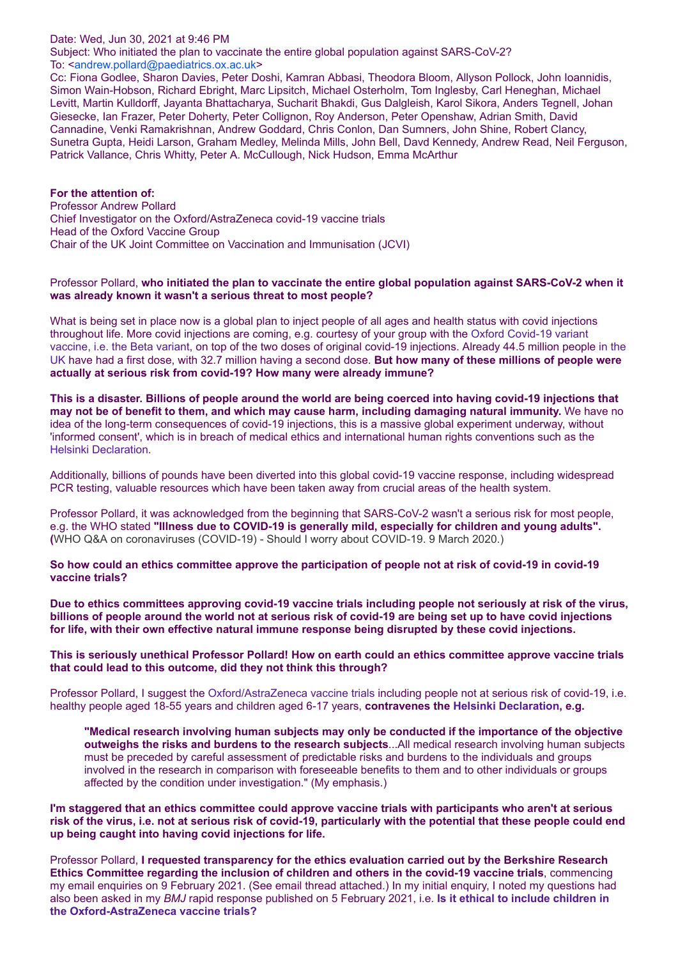#### Date: Wed, Jun 30, 2021 at 9:46 PM

Subject: Who initiated the plan to vaccinate the entire global population against SARS-CoV-2? To: <[andrew.pollard@paediatrics.ox.ac.uk>](mailto:andrew.pollard@paediatrics.ox.ac.uk)

Cc: Fiona Godlee, Sharon Davies, Peter Doshi, Kamran Abbasi, Theodora Bloom, Allyson Pollock, John Ioannidis, Simon Wain-Hobson, Richard Ebright, Marc Lipsitch, Michael Osterholm, Tom Inglesby, Carl Heneghan, Michael Levitt, Martin Kulldorff, Jayanta Bhattacharya, Sucharit Bhakdi, Gus Dalgleish, Karol Sikora, Anders Tegnell, Johan Giesecke, Ian Frazer, Peter Doherty, Peter Collignon, Roy Anderson, Peter Openshaw, Adrian Smith, David Cannadine, Venki Ramakrishnan, Andrew Goddard, Chris Conlon, Dan Sumners, John Shine, Robert Clancy, Sunetra Gupta, Heidi Larson, Graham Medley, Melinda Mills, John Bell, Davd Kennedy, Andrew Read, Neil Ferguson, Patrick Vallance, Chris Whitty, Peter A. McCullough, Nick Hudson, Emma McArthur

**For the attention of:** Professor Andrew Pollard Chief Investigator on the Oxford/AstraZeneca covid-19 vaccine trials Head of the Oxford Vaccine Group Chair of the UK Joint Committee on Vaccination and Immunisation (JCVI)

#### Professor Pollard, **who initiated the plan to vaccinate the entire global population against SARS-CoV-2 when it was already known it wasn't a serious threat to most people?**

What is being set in place now is a global plan to inject people of all ages and health status with covid injections throughout life. More covid injections are coming, e.g. courtesy of your group with the Oxford Covid-19 variant [vaccine, i.e. the Beta variant, on top of the two doses of original covid-19 injections. Already 44.5 million people in the](https://coronavirus.data.gov.uk/details/vaccinations) UK have had a first dose, with 32.7 million having a second dose. **But how many of these millions of people were actually at serious risk from covid-19? How many were already immune?**

**This is a disaster. Billions of people around the world are being coerced into having covid-19 injections that may not be of benefit to them, and which may cause harm, including damaging natural immunity.** We have no idea of the long-term consequences of covid-19 injections, this is a massive global experiment underway, without 'informed consent', which is in breach of medical ethics and international human rights conventions such as the [Helsinki Declaration](https://www.wma.net/policies-post/wma-declaration-of-helsinki-ethical-principles-for-medical-research-involving-human-subjects/).

Additionally, billions of pounds have been diverted into this global covid-19 vaccine response, including widespread PCR testing, valuable resources which have been taken away from crucial areas of the health system.

Professor Pollard, it was acknowledged from the beginning that SARS-CoV-2 wasn't a serious risk for most people, e.g. the WHO stated **"Illness due to COVID-19 is generally mild, especially for children and young adults". (**WHO Q&A on coronaviruses (COVID-19) - Should I worry about COVID-19. 9 March 2020.)

**So how could an ethics committee approve the participation of people not at risk of covid-19 in covid-19 vaccine trials?**

**Due to ethics committees approving covid-19 vaccine trials including people not seriously at risk of the virus, billions of people around the world not at serious risk of covid-19 are being set up to have covid injections for life, with their own effective natural immune response being disrupted by these covid injections.**

**This is seriously unethical Professor Pollard! How on earth could an ethics committee approve vaccine trials that could lead to this outcome, did they not think this through?**

Professor Pollard, I suggest the [Oxford/AstraZeneca vaccine trials](https://covid19vaccinetrial.co.uk/home) including people not at serious risk of covid-19, i.e. healthy people aged 18-55 years and children aged 6-17 years, **contravenes the [Helsinki Declaration](https://www.wma.net/policies-post/wma-declaration-of-helsinki-ethical-principles-for-medical-research-involving-human-subjects/), e.g.**

**"Medical research involving human subjects may only be conducted if the importance of the objective outweighs the risks and burdens to the research subjects**...All medical research involving human subjects must be preceded by careful assessment of predictable risks and burdens to the individuals and groups involved in the research in comparison with foreseeable benefits to them and to other individuals or groups affected by the condition under investigation." (My emphasis.)

**I'm staggered that an ethics committee could approve vaccine trials with participants who aren't at serious risk of the virus, i.e. not at serious risk of covid-19, particularly with the potential that these people could end up being caught into having covid injections for life.**

Professor Pollard, **I requested transparency for the ethics evaluation carried out by the Berkshire Research Ethics Committee regarding the inclusion of children and others in the covid-19 vaccine trials**, commencing my email enquiries on 9 February 2021. (See email thread attached.) In my initial enquiry, I noted my questions had also been asked in my *BMJ* [rapid response published on 5 February 2021, i.e.](https://www.bmj.com/content/372/bmj.n86/rr-2) **Is it ethical to include children in the Oxford-AstraZeneca vaccine trials?**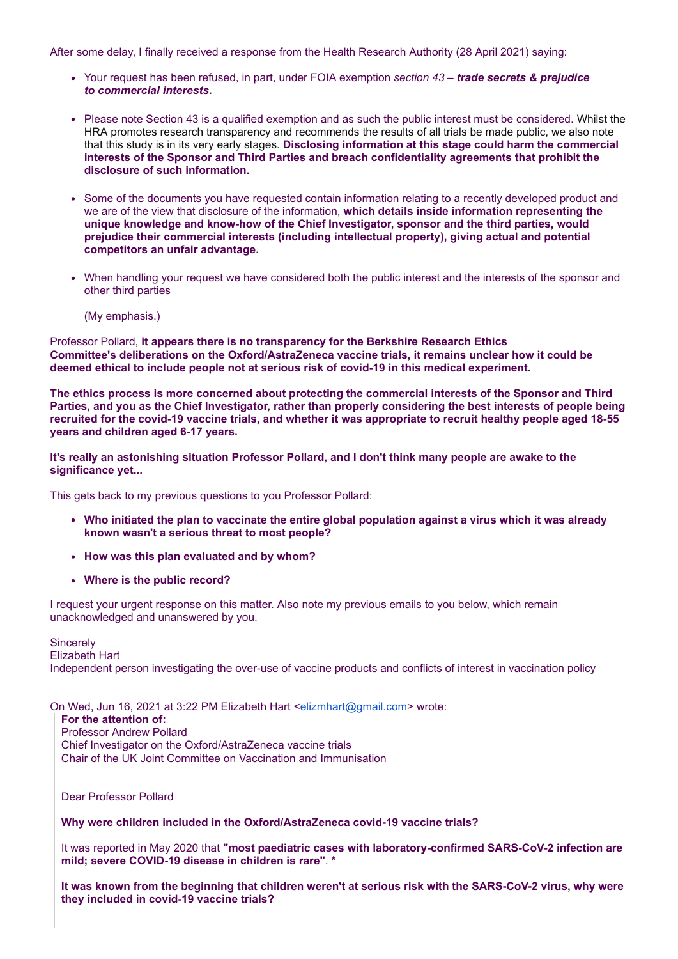After some delay, I finally received a response from the Health Research Authority (28 April 2021) saying:

- Your request has been refused, in part, under FOIA exemption *section 43 trade secrets & prejudice to commercial interests***.**
- Please note Section 43 is a qualified exemption and as such the public interest must be considered. Whilst the HRA promotes research transparency and recommends the results of all trials be made public, we also note that this study is in its very early stages. **Disclosing information at this stage could harm the commercial interests of the Sponsor and Third Parties and breach confidentiality agreements that prohibit the disclosure of such information.**
- Some of the documents you have requested contain information relating to a recently developed product and we are of the view that disclosure of the information, **which details inside information representing the unique knowledge and know-how of the Chief Investigator, sponsor and the third parties, would prejudice their commercial interests (including intellectual property), giving actual and potential competitors an unfair advantage.**
- When handling your request we have considered both the public interest and the interests of the sponsor and other third parties

(My emphasis.)

Professor Pollard, **it appears there is no transparency for the Berkshire Research Ethics Committee's deliberations on the Oxford/AstraZeneca vaccine trials, it remains unclear how it could be deemed ethical to include people not at serious risk of covid-19 in this medical experiment.**

**The ethics process is more concerned about protecting the commercial interests of the Sponsor and Third Parties, and you as the Chief Investigator, rather than properly considering the best interests of people being recruited for the covid-19 vaccine trials, and whether it was appropriate to recruit healthy people aged 18-55 years and children aged 6-17 years.**

**It's really an astonishing situation Professor Pollard, and I don't think many people are awake to the significance yet...**

This gets back to my previous questions to you Professor Pollard:

- **Who initiated the plan to vaccinate the entire global population against a virus which it was already known wasn't a serious threat to most people?**
- **How was this plan evaluated and by whom?**
- **Where is the public record?**

I request your urgent response on this matter. Also note my previous emails to you below, which remain unacknowledged and unanswered by you.

**Sincerely** Elizabeth Hart Independent person investigating the over-use of vaccine products and conflicts of interest in vaccination policy

On Wed, Jun 16, 2021 at 3:22 PM Elizabeth Hart <[elizmhart@gmail.com>](mailto:elizmhart@gmail.com) wrote:

**For the attention of:** Professor Andrew Pollard Chief Investigator on the Oxford/AstraZeneca vaccine trials Chair of the UK Joint Committee on Vaccination and Immunisation

Dear Professor Pollard

**Why were children included in the Oxford/AstraZeneca covid-19 vaccine trials?**

It was reported in May 2020 that **"most paediatric cases with laboratory-confirmed SARS-CoV-2 infection are mild; severe COVID-19 disease in children is rare"**. **\***

**It was known from the beginning that children weren't at serious risk with the SARS-CoV-2 virus, why were they included in covid-19 vaccine trials?**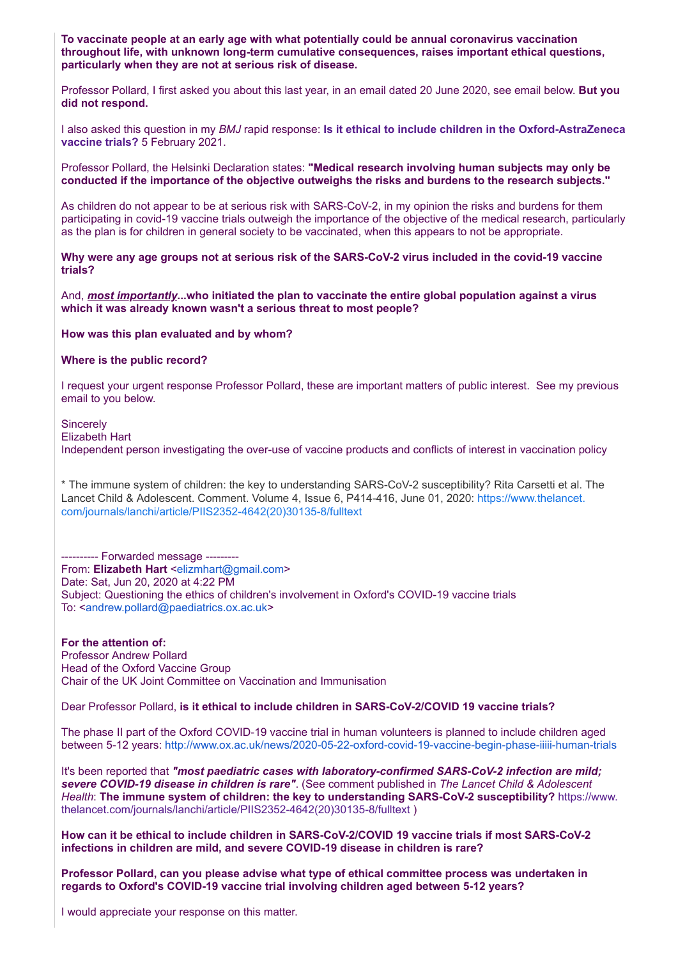**To vaccinate people at an early age with what potentially could be annual coronavirus vaccination throughout life, with unknown long-term cumulative consequences, raises important ethical questions, particularly when they are not at serious risk of disease.**

Professor Pollard, I first asked you about this last year, in an email dated 20 June 2020, see email below. **But you did not respond.**

I also asked this question in my *BMJ* rapid response: **[Is it ethical to include children in the Oxford-AstraZeneca](https://www.bmj.com/content/372/bmj.n86/rr-2) vaccine trials?** 5 February 2021.

Professor Pollard, the Helsinki Declaration states: **"Medical research involving human subjects may only be conducted if the importance of the objective outweighs the risks and burdens to the research subjects."**

As children do not appear to be at serious risk with SARS-CoV-2, in my opinion the risks and burdens for them participating in covid-19 vaccine trials outweigh the importance of the objective of the medical research, particularly as the plan is for children in general society to be vaccinated, when this appears to not be appropriate.

**Why were any age groups not at serious risk of the SARS-CoV-2 virus included in the covid-19 vaccine trials?**

And, *most importantly***...who initiated the plan to vaccinate the entire global population against a virus which it was already known wasn't a serious threat to most people?**

**How was this plan evaluated and by whom?**

**Where is the public record?**

I request your urgent response Professor Pollard, these are important matters of public interest. See my previous email to you below.

**Sincerely** Elizabeth Hart Independent person investigating the over-use of vaccine products and conflicts of interest in vaccination policy

\* The immune system of children: the key to understanding SARS-CoV-2 susceptibility? Rita Carsetti et al. The [Lancet Child & Adolescent. Comment. Volume 4, Issue 6, P414-416, June 01, 2020:](https://www.thelancet.com/journals/lanchi/article/PIIS2352-4642(20)30135-8/fulltext) https://www.thelancet. com/journals/lanchi/article/PIIS2352-4642(20)30135-8/fulltext

---------- Forwarded message --------- From: **Elizabeth Hart** <[elizmhart@gmail.com>](mailto:elizmhart@gmail.com) Date: Sat, Jun 20, 2020 at 4:22 PM Subject: Questioning the ethics of children's involvement in Oxford's COVID-19 vaccine trials To: <[andrew.pollard@paediatrics.ox.ac.uk>](mailto:andrew.pollard@paediatrics.ox.ac.uk)

**For the attention of:** Professor Andrew Pollard Head of the Oxford Vaccine Group Chair of the UK Joint Committee on Vaccination and Immunisation

Dear Professor Pollard, **is it ethical to include children in SARS-CoV-2/COVID 19 vaccine trials?**

The phase II part of the Oxford COVID-19 vaccine trial in human volunteers is planned to include children aged between 5-12 years: <http://www.ox.ac.uk/news/2020-05-22-oxford-covid-19-vaccine-begin-phase-iiiii-human-trials>

It's been reported that *"most paediatric cases with laboratory-confirmed SARS-CoV-2 infection are mild; severe COVID-19 disease in children is rare"*. (See comment published in *The Lancet Child & Adolescent Health*: **[The immune system of children: the key to understanding SARS-CoV-2 susceptibility?](https://www.thelancet.com/journals/lanchi/article/PIIS2352-4642(20)30135-8/fulltext)** https://www. thelancet.com/journals/lanchi/article/PIIS2352-4642(20)30135-8/fulltext )

**How can it be ethical to include children in SARS-CoV-2/COVID 19 vaccine trials if most SARS-CoV-2 infections in children are mild, and severe COVID-19 disease in children is rare?**

**Professor Pollard, can you please advise what type of ethical committee process was undertaken in regards to Oxford's COVID-19 vaccine trial involving children aged between 5-12 years?**

I would appreciate your response on this matter.